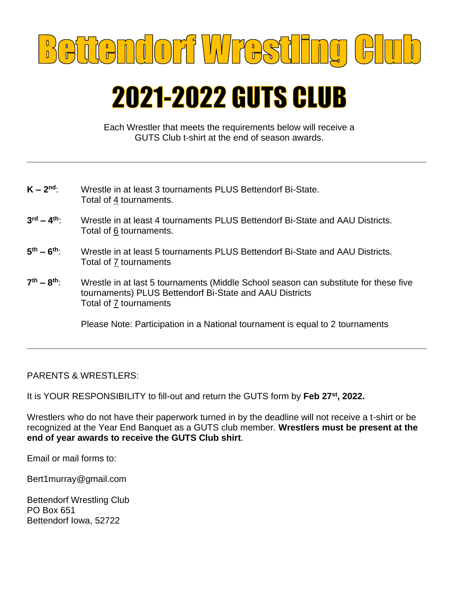

## **2021-2022 GUTS CLUB**

Each Wrestler that meets the requirements below will receive a GUTS Club t-shirt at the end of season awards.

**\_\_\_\_\_\_\_\_\_\_\_\_\_\_\_\_\_\_\_\_\_\_\_\_\_\_\_\_\_\_\_\_\_\_\_\_\_\_\_\_\_\_\_\_\_\_\_\_\_\_\_\_\_\_\_\_\_\_\_\_\_\_\_\_\_\_\_\_\_\_\_\_\_\_\_\_\_\_\_\_**

| $K - 2nd$ | Wrestle in at least 3 tournaments PLUS Bettendorf Bi-State. |
|-----------|-------------------------------------------------------------|
|           | Total of 4 tournaments.                                     |

- **3 rd – 4 th**: Wrestle in at least 4 tournaments PLUS Bettendorf Bi-State and AAU Districts. Total of 6 tournaments.
- **5 th – 6 th**: Wrestle in at least 5 tournaments PLUS Bettendorf Bi-State and AAU Districts. Total of 7 tournaments
- **7 th – 8 th**: Wrestle in at last 5 tournaments (Middle School season can substitute for these five tournaments) PLUS Bettendorf Bi-State and AAU Districts Total of 7 tournaments

Please Note: Participation in a National tournament is equal to 2 tournaments

**\_\_\_\_\_\_\_\_\_\_\_\_\_\_\_\_\_\_\_\_\_\_\_\_\_\_\_\_\_\_\_\_\_\_\_\_\_\_\_\_\_\_\_\_\_\_\_\_\_\_\_\_\_\_\_\_\_\_\_\_\_\_\_\_\_\_\_\_\_\_\_\_\_\_\_\_\_\_\_\_**

PARENTS & WRESTLERS:

It is YOUR RESPONSIBILITY to fill-out and return the GUTS form by Feb 27<sup>st</sup>, 2022.

Wrestlers who do not have their paperwork turned in by the deadline will not receive a t-shirt or be recognized at the Year End Banquet as a GUTS club member. **Wrestlers must be present at the end of year awards to receive the GUTS Club shirt**.

Email or mail forms to:

Bert1murray@gmail.com

Bettendorf Wrestling Club PO Box 651 Bettendorf Iowa, 52722